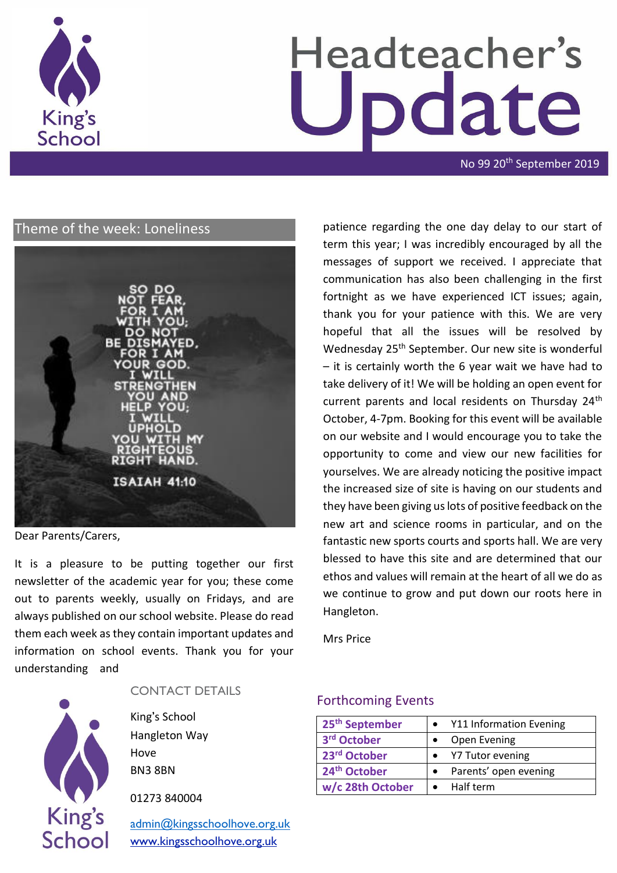

# Headteacher's odate

No 99 20th September 2019

# Theme of the week: Loneliness



Dear Parents/Carers,

It is a pleasure to be putting together our first newsletter of the academic year for you; these come out to parents weekly, usually on Fridays, and are always published on our school website. Please do read them each week as they contain important updates and information on school events. Thank you for your understanding and



#### CONTACT DETAILS

King's School Hangleton Way Hove BN3 8BN

01273 840004

[admin@kingsschoolhove.org.uk](mailto:admin@kingsschoolhove.org.uk) [www.kingsschoolhove.org.uk](http://www.kingsschoolhove.org.uk/)

patience regarding the one day delay to our start of term this year; I was incredibly encouraged by all the messages of support we received. I appreciate that communication has also been challenging in the first fortnight as we have experienced ICT issues; again, thank you for your patience with this. We are very hopeful that all the issues will be resolved by Wednesday 25<sup>th</sup> September. Our new site is wonderful – it is certainly worth the 6 year wait we have had to take delivery of it! We will be holding an open event for current parents and local residents on Thursday 24<sup>th</sup> October, 4-7pm. Booking for this event will be available on our website and I would encourage you to take the opportunity to come and view our new facilities for yourselves. We are already noticing the positive impact the increased size of site is having on our students and they have been giving us lots of positive feedback on the new art and science rooms in particular, and on the fantastic new sports courts and sports hall. We are very blessed to have this site and are determined that our ethos and values will remain at the heart of all we do as we continue to grow and put down our roots here in Hangleton.

Mrs Price

#### Forthcoming Events

| 25 <sup>th</sup> September | Y11 Information Evening |
|----------------------------|-------------------------|
| 3rd October                | Open Evening            |
| 23rd October               | Y7 Tutor evening        |
| 24 <sup>th</sup> October   | Parents' open evening   |
| w/c 28th October           | Half term               |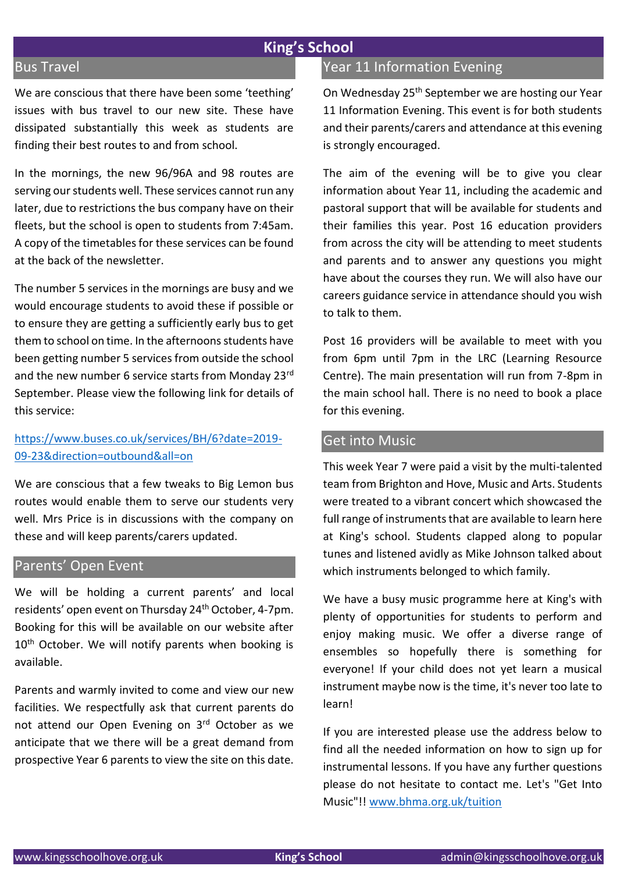# **King's School**

#### Bus Travel

We are conscious that there have been some 'teething' issues with bus travel to our new site. These have dissipated substantially this week as students are finding their best routes to and from school.

In the mornings, the new 96/96A and 98 routes are serving our students well. These services cannot run any later, due to restrictions the bus company have on their fleets, but the school is open to students from 7:45am. A copy of the timetables for these services can be found at the back of the newsletter.

The number 5 services in the mornings are busy and we would encourage students to avoid these if possible or to ensure they are getting a sufficiently early bus to get them to school on time. In the afternoons students have been getting number 5 services from outside the school and the new number 6 service starts from Monday 23rd September. Please view the following link for details of this service:

#### [https://www.buses.co.uk/services/BH/6?date=2019-](https://www.buses.co.uk/services/BH/6?date=2019-09-23&direction=outbound&all=on) [09-23&direction=outbound&all=on](https://www.buses.co.uk/services/BH/6?date=2019-09-23&direction=outbound&all=on)

We are conscious that a few tweaks to Big Lemon bus routes would enable them to serve our students very well. Mrs Price is in discussions with the company on these and will keep parents/carers updated.

#### Parents' Open Event

We will be holding a current parents' and local residents' open event on Thursday 24th October, 4-7pm. Booking for this will be available on our website after 10<sup>th</sup> October. We will notify parents when booking is available.

Parents and warmly invited to come and view our new facilities. We respectfully ask that current parents do not attend our Open Evening on 3rd October as we anticipate that we there will be a great demand from prospective Year 6 parents to view the site on this date.

## Year 11 Information Evening

On Wednesday 25<sup>th</sup> September we are hosting our Year 11 Information Evening. This event is for both students and their parents/carers and attendance at this evening is strongly encouraged.

The aim of the evening will be to give you clear information about Year 11, including the academic and pastoral support that will be available for students and their families this year. Post 16 education providers from across the city will be attending to meet students and parents and to answer any questions you might have about the courses they run. We will also have our careers guidance service in attendance should you wish to talk to them.

Post 16 providers will be available to meet with you from 6pm until 7pm in the LRC (Learning Resource Centre). The main presentation will run from 7-8pm in the main school hall. There is no need to book a place for this evening.

#### Get into Music

This week Year 7 were paid a visit by the multi-talented team from Brighton and Hove, Music and Arts. Students were treated to a vibrant concert which showcased the full range of instruments that are available to learn here at King's school. Students clapped along to popular tunes and listened avidly as Mike Johnson talked about which instruments belonged to which family.

We have a busy music programme here at King's with plenty of opportunities for students to perform and enjoy making music. We offer a diverse range of ensembles so hopefully there is something for everyone! If your child does not yet learn a musical instrument maybe now is the time, it's never too late to learn!

If you are interested please use the address below to find all the needed information on how to sign up for instrumental lessons. If you have any further questions please do not hesitate to contact me. Let's "Get Into Music"!! [www.bhma.org.uk/tuition](http://www.bhma.org.uk/tuition)